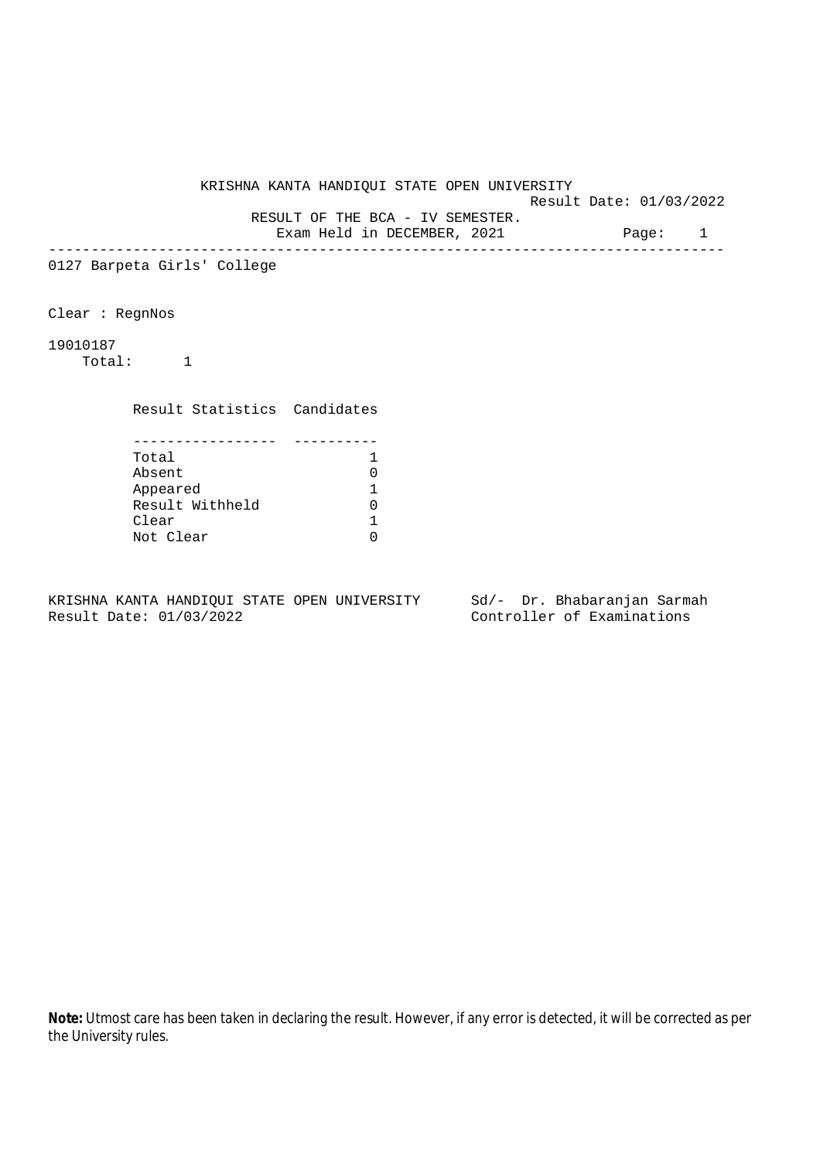KRISHNA KANTA HANDIQUI STATE OPEN UNIVERSITY Result Date: 01/03/2022 RESULT OF THE BCA - IV SEMESTER. Exam Held in DECEMBER, 2021 Page: 1 -------------------------------------------------------------------------------- 0127 Barpeta Girls' College Clear : RegnNos 19010187 Total: 1 Result Statistics Candidates ----------------- ---------- Total 1<br>Absent 1 0 Absent 0 Appeared 1 Result Withheld 0<br>Clear 1 Clear Not Clear 0

KRISHNA KANTA HANDIQUI STATE OPEN UNIVERSITY Sd/- Dr. Bhabaranjan Sarmah Result Date: 01/03/2022 Controller of Examinations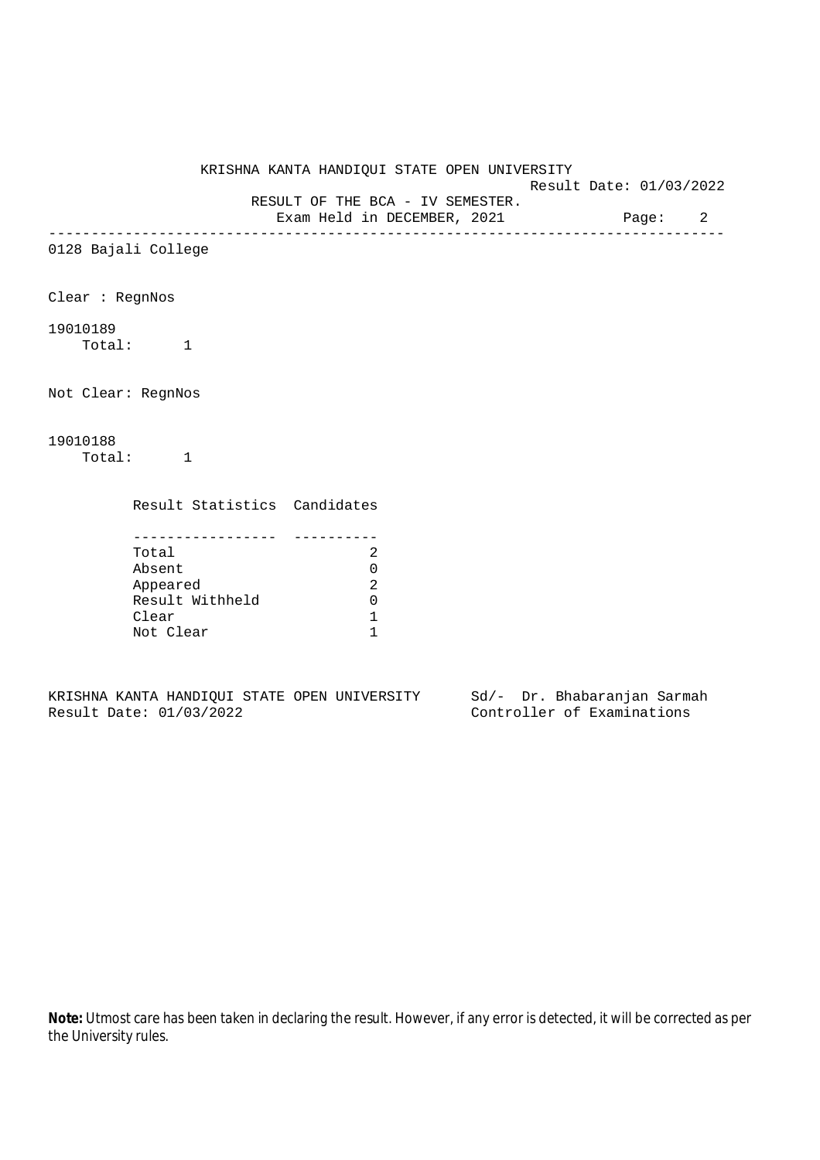Result Date: 01/03/2022

 RESULT OF THE BCA - IV SEMESTER. Exam Held in DECEMBER, 2021 Page: 2

--------------------------------------------------------------------------------

0128 Bajali College

Clear : RegnNos

## 19010189

Total: 1

Not Clear: RegnNos

# 19010188

Total: 1

Result Statistics Candidates

| Total           |  |
|-----------------|--|
| Absent          |  |
| Appeared        |  |
| Result Withheld |  |
| Clear           |  |
| Not Clear       |  |

KRISHNA KANTA HANDIQUI STATE OPEN UNIVERSITY Sd/- Dr. Bhabaranjan Sarmah Result Date: 01/03/2022 Controller of Examinations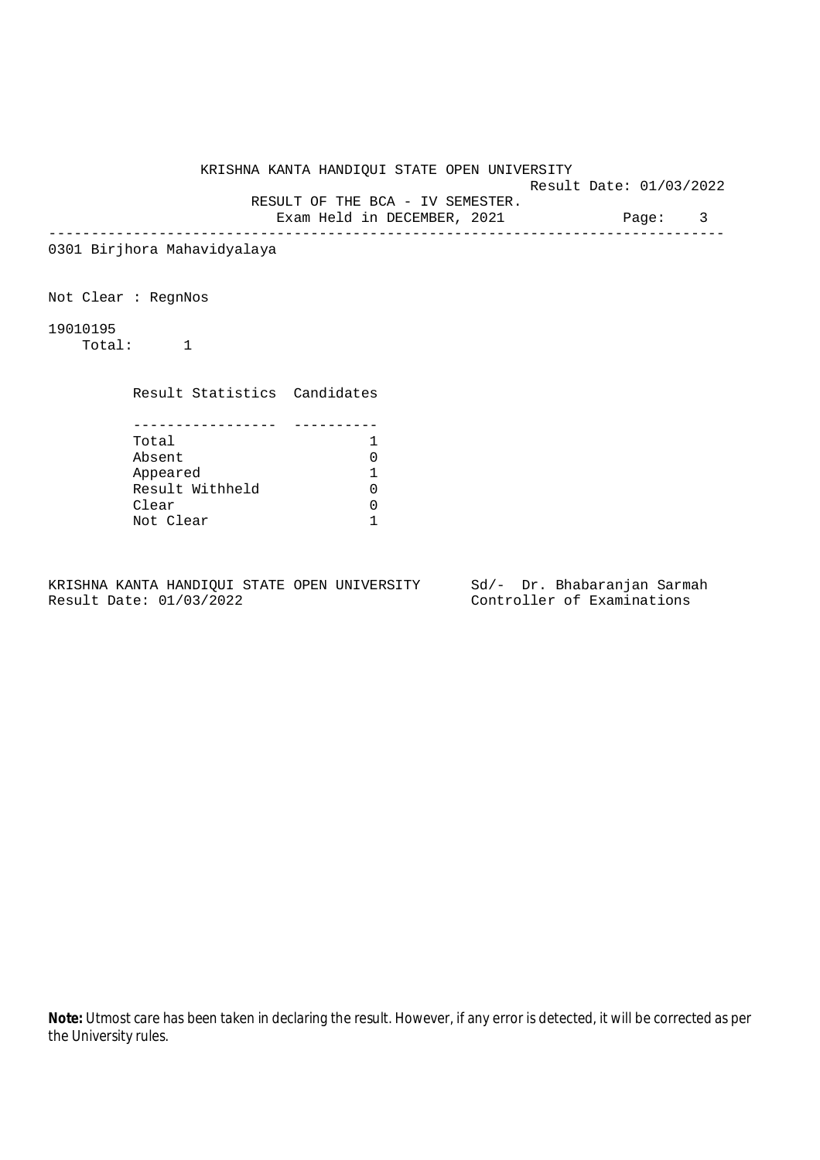Result Date: 01/03/2022

RESULT OF THE BCA - IV SEMESTER.

Exam Held in DECEMBER, 2021 Page: 3 --------------------------------------------------------------------------------

0301 Birjhora Mahavidyalaya

Not Clear : RegnNos

19010195

Total: 1

Result Statistics Candidates

| Total           |  |
|-----------------|--|
| Absent          |  |
| Appeared        |  |
| Result Withheld |  |
| Clear           |  |
| Not Clear       |  |

KRISHNA KANTA HANDIQUI STATE OPEN UNIVERSITY Sd/- Dr. Bhabaranjan Sarmah Result Date: 01/03/2022 Controller of Examinations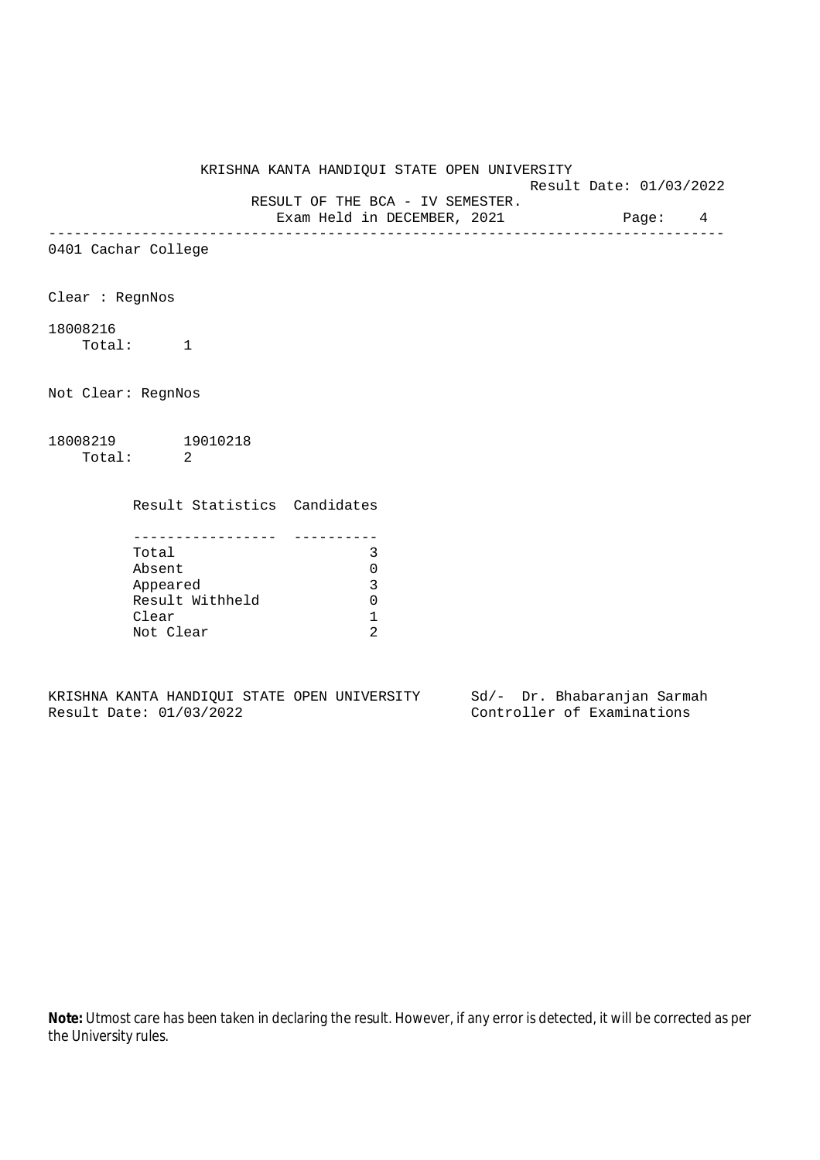Result Date: 01/03/2022

RESULT OF THE BCA - IV SEMESTER.

Exam Held in DECEMBER, 2021 Page: 4 --------------------------------------------------------------------------------

0401 Cachar College

Clear : RegnNos

# 18008216

Total: 1

Not Clear: RegnNos

18008219 19010218 Total: 2

Result Statistics Candidates

| Total           |  |
|-----------------|--|
| Absent          |  |
| Appeared        |  |
| Result Withheld |  |
| Clear           |  |
| Not Clear       |  |

KRISHNA KANTA HANDIQUI STATE OPEN UNIVERSITY Sd/- Dr. Bhabaranjan Sarmah Result Date: 01/03/2022 Controller of Examinations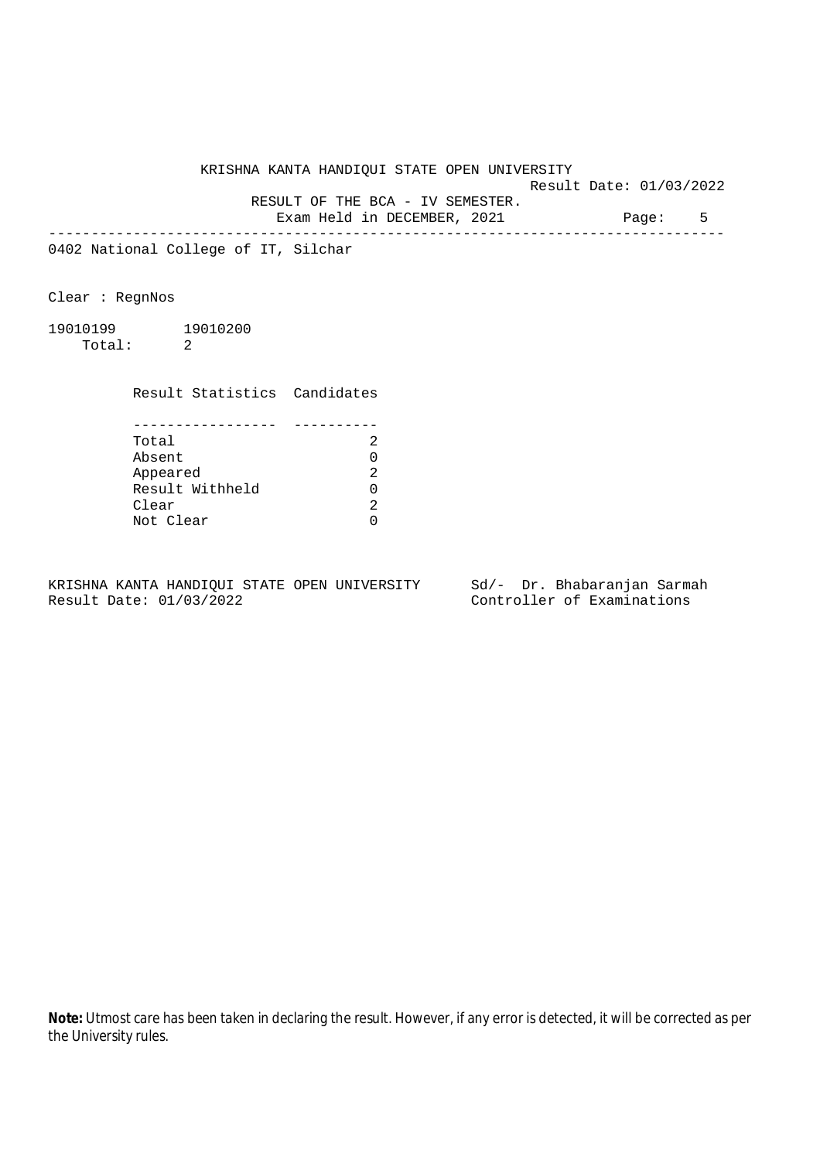Result Date: 01/03/2022 RESULT OF THE BCA - IV SEMESTER.

Exam Held in DECEMBER, 2021 Page: 5

--------------------------------------------------------------------------------

0402 National College of IT, Silchar

Clear : RegnNos

19010199 19010200 Total: 2

> Result Statistics Candidates ----------------- ----------

| Total           |  |
|-----------------|--|
| Absent          |  |
| Appeared        |  |
| Result Withheld |  |
| Clear           |  |
| Not Clear       |  |

KRISHNA KANTA HANDIQUI STATE OPEN UNIVERSITY Sd/- Dr. Bhabaranjan Sarmah Result Date: 01/03/2022 Controller of Examinations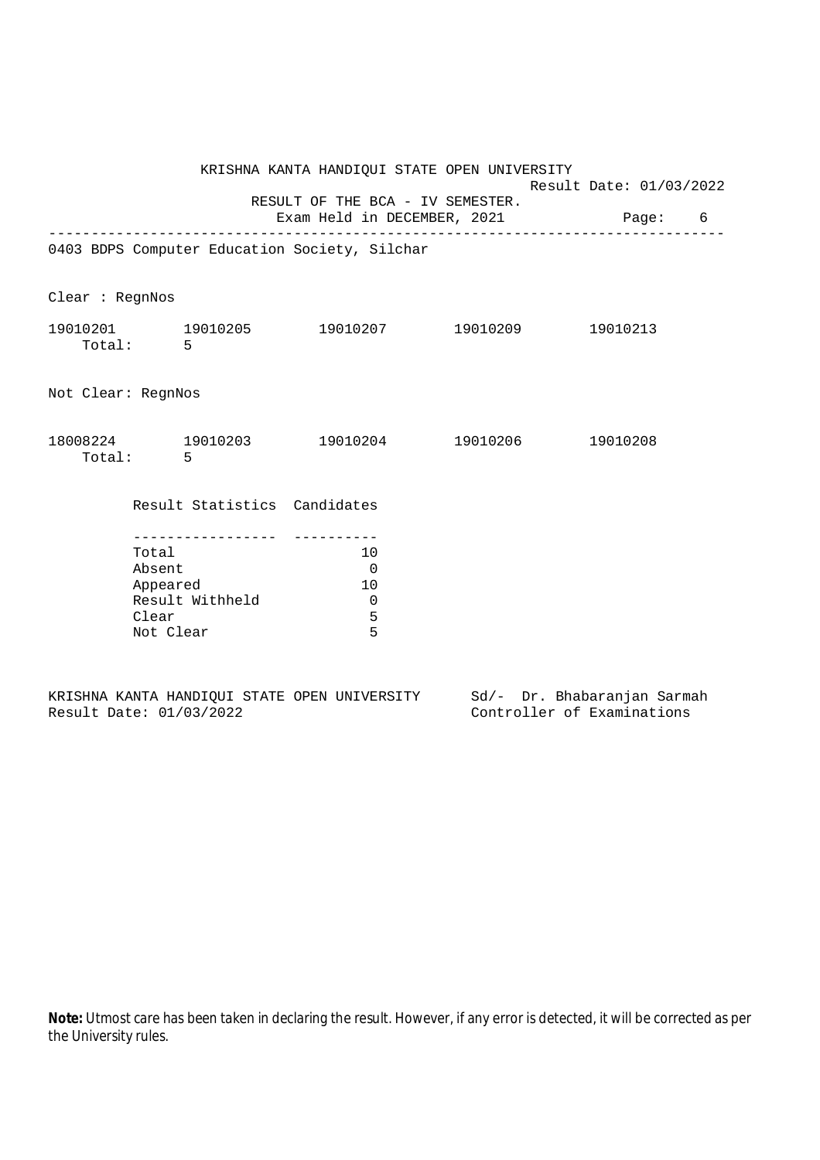|                    |                                                                                                                    | KRISHNA KANTA HANDIQUI STATE OPEN UNIVERSITY |                                   |   |
|--------------------|--------------------------------------------------------------------------------------------------------------------|----------------------------------------------|-----------------------------------|---|
|                    |                                                                                                                    |                                              | Result Date: 01/03/2022           |   |
|                    |                                                                                                                    | RESULT OF THE BCA - IV SEMESTER.             | Exam Held in DECEMBER, 2021 Page: | 6 |
|                    | 0403 BDPS Computer Education Society, Silchar                                                                      |                                              |                                   |   |
|                    |                                                                                                                    |                                              |                                   |   |
| Clear : RegnNos    |                                                                                                                    |                                              |                                   |   |
|                    | $19010201$ $19010205$ $19010207$ $19010209$ $19010213$<br>Total: 5                                                 |                                              |                                   |   |
| Not Clear: RegnNos |                                                                                                                    |                                              |                                   |   |
|                    | $18008224 \qquad \qquad 19010203 \qquad \qquad 19010204 \qquad \qquad 19010206 \qquad \qquad 19010208$<br>Total: 5 |                                              |                                   |   |
|                    | Result Statistics Candidates                                                                                       |                                              |                                   |   |
|                    | Total<br>Absent<br>Appeared<br>Result Withheld<br>Clear<br>Not Clear                                               | 10<br>$\overline{0}$<br>10<br>0<br>5<br>5    |                                   |   |

|  |                         |  | KRISHNA KANTA HANDIOUI STATE OPEN UNIVERSITY |  | Sd/- Dr. Bhabaranjan Sarmah |  |
|--|-------------------------|--|----------------------------------------------|--|-----------------------------|--|
|  | Result Date: 01/03/2022 |  |                                              |  | Controller of Examinations  |  |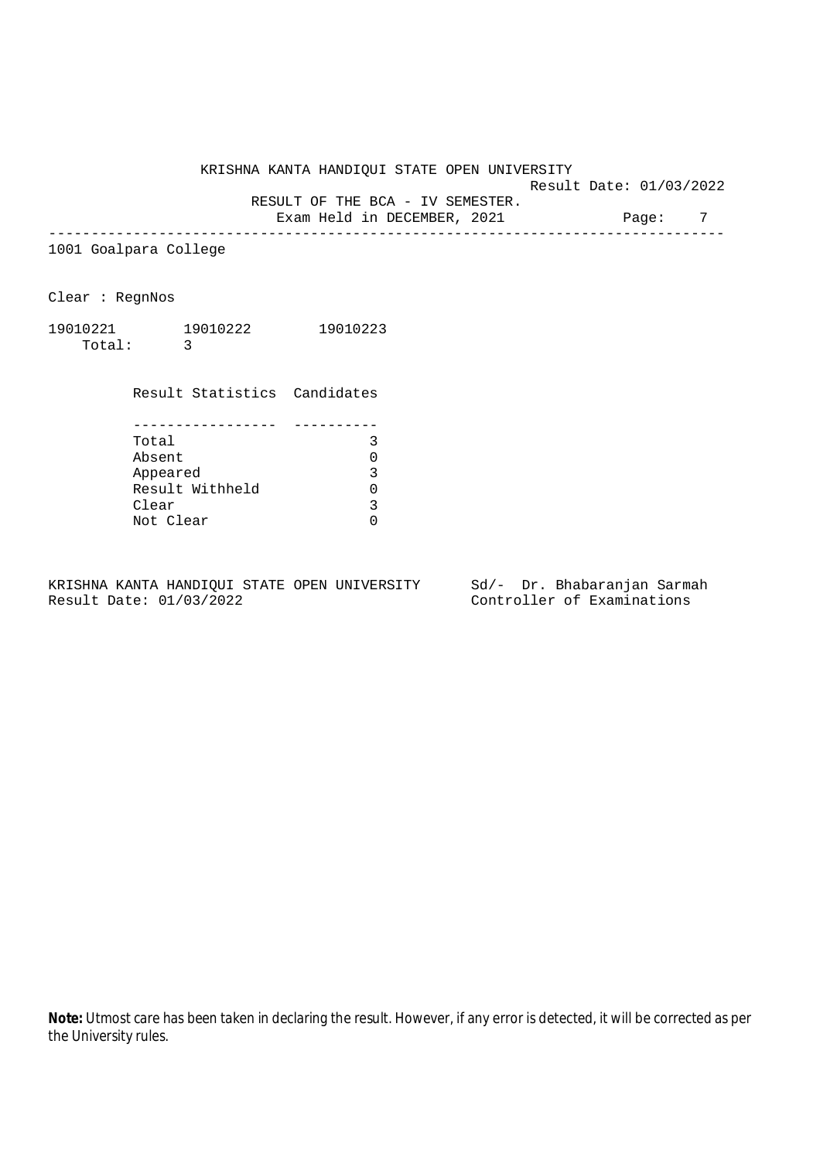Result Date: 01/03/2022

 RESULT OF THE BCA - IV SEMESTER. Exam Held in DECEMBER, 2021 Page: 7

--------------------------------------------------------------------------------

1001 Goalpara College

Clear : RegnNos

| 19010221 | 19010222 | 19010223 |
|----------|----------|----------|
| Total:   |          |          |

Result Statistics Candidates

| Total           |  |
|-----------------|--|
| Absent          |  |
| Appeared        |  |
| Result Withheld |  |
| Clear           |  |
| Not Clear       |  |

KRISHNA KANTA HANDIQUI STATE OPEN UNIVERSITY Sd/- Dr. Bhabaranjan Sarmah Result Date: 01/03/2022 Controller of Examinations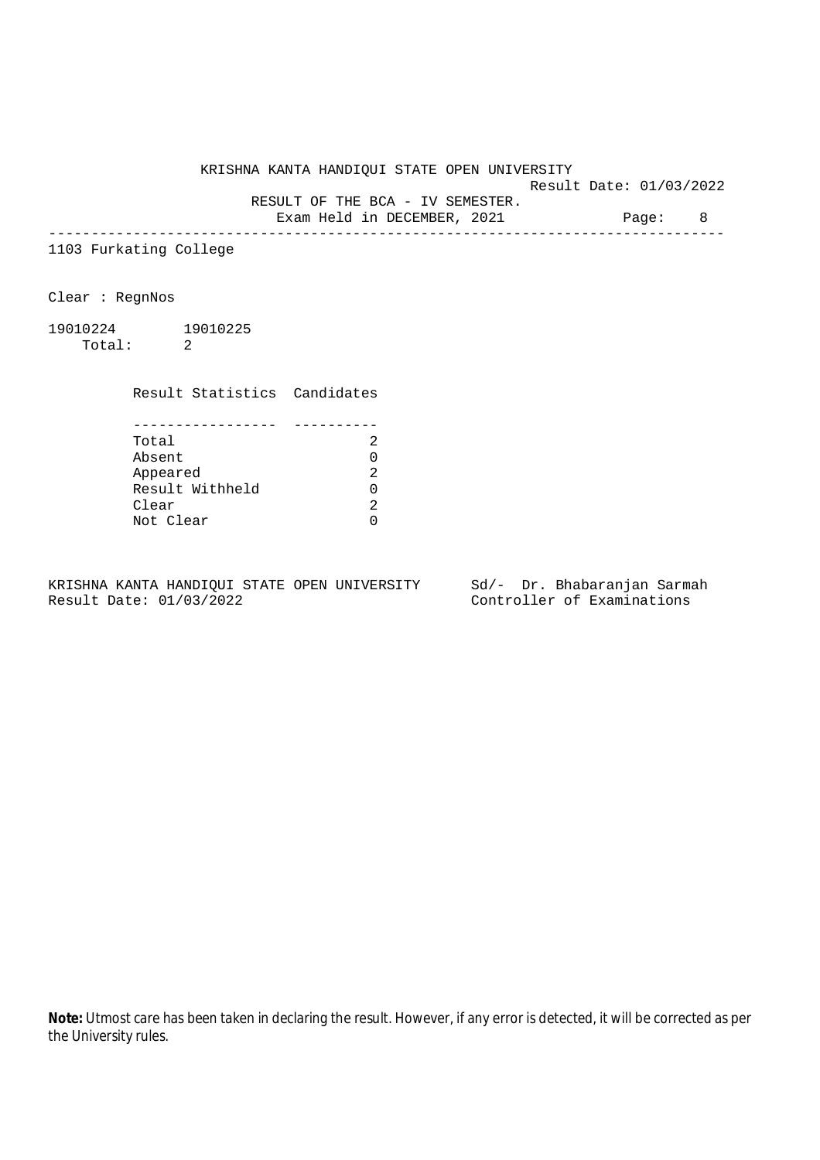Result Date: 01/03/2022

RESULT OF THE BCA - IV SEMESTER.

Exam Held in DECEMBER, 2021 Page: 8 --------------------------------------------------------------------------------

1103 Furkating College

Clear : RegnNos

19010224 19010225 Total: 2

Result Statistics Candidates

| Total           |   |
|-----------------|---|
| Absent          |   |
| Appeared        | っ |
| Result Withheld |   |
| Clear           |   |
| Not Clear       |   |

KRISHNA KANTA HANDIQUI STATE OPEN UNIVERSITY Sd/- Dr. Bhabaranjan Sarmah Result Date: 01/03/2022 Controller of Examinations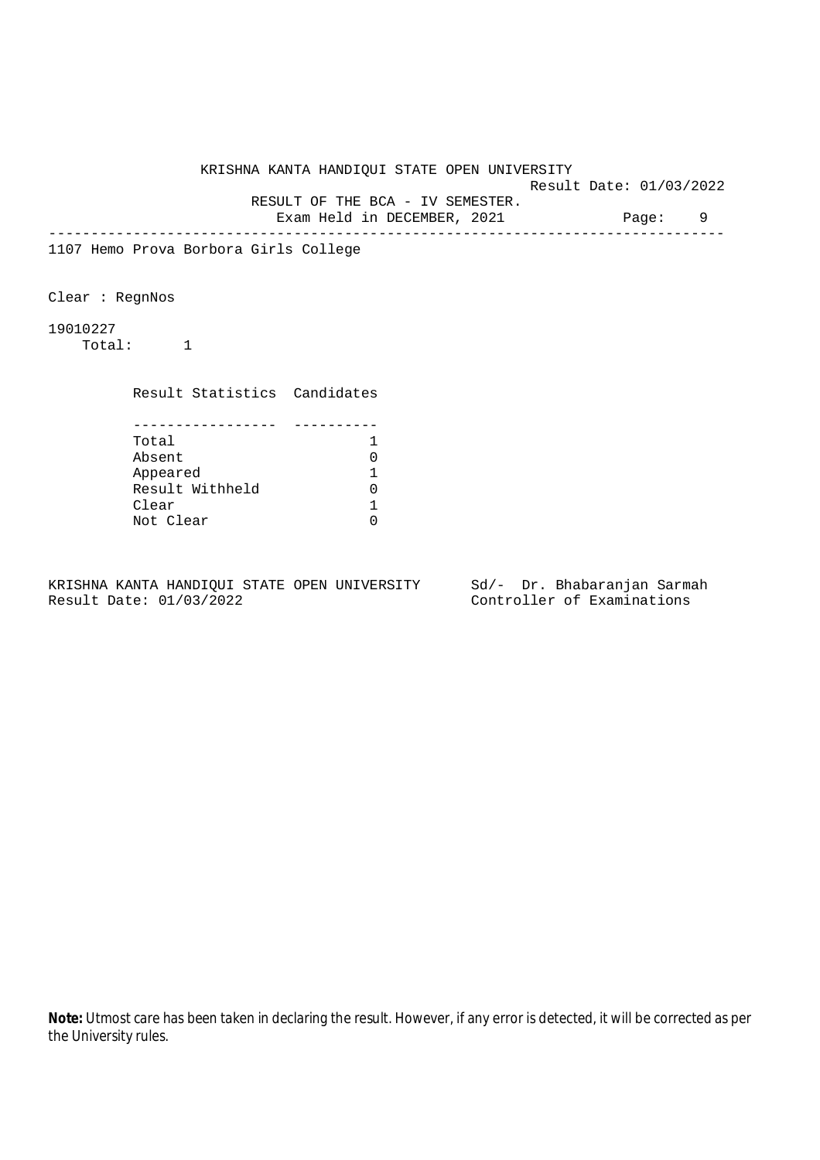Result Date: 01/03/2022 RESULT OF THE BCA - IV SEMESTER.

Exam Held in DECEMBER, 2021 Page: 9

--------------------------------------------------------------------------------

1107 Hemo Prova Borbora Girls College

Clear : RegnNos

19010227

Total: 1

Result Statistics Candidates

| Total           |  |
|-----------------|--|
| Absent          |  |
| Appeared        |  |
| Result Withheld |  |
| Clear           |  |
| Not Clear       |  |

KRISHNA KANTA HANDIQUI STATE OPEN UNIVERSITY Sd/- Dr. Bhabaranjan Sarmah Result Date: 01/03/2022 Controller of Examinations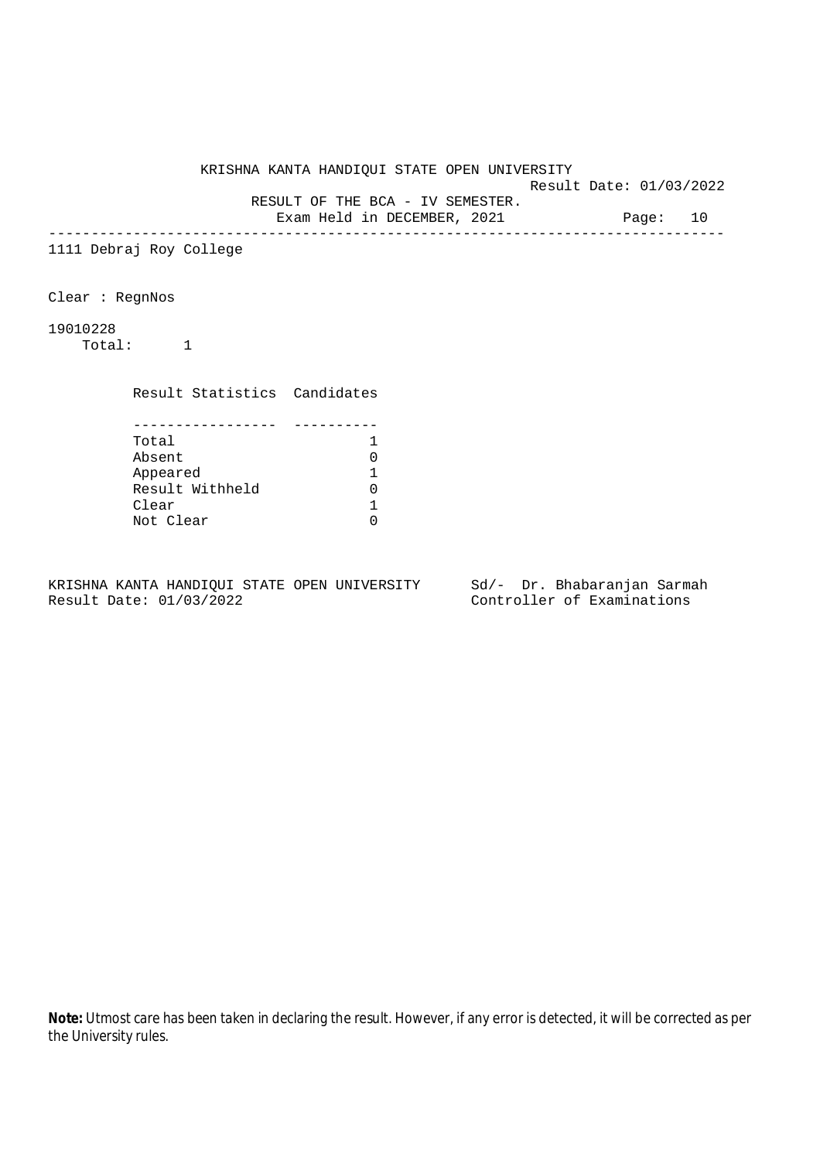Result Date: 01/03/2022 RESULT OF THE BCA - IV SEMESTER.

Exam Held in DECEMBER, 2021 Page: 10

--------------------------------------------------------------------------------

1111 Debraj Roy College

Clear : RegnNos

19010228

Total: 1

Result Statistics Candidates

| Total           |  |
|-----------------|--|
| Absent          |  |
| Appeared        |  |
| Result Withheld |  |
| Clear           |  |
| Not Clear       |  |

KRISHNA KANTA HANDIQUI STATE OPEN UNIVERSITY Sd/- Dr. Bhabaranjan Sarmah Result Date: 01/03/2022 Controller of Examinations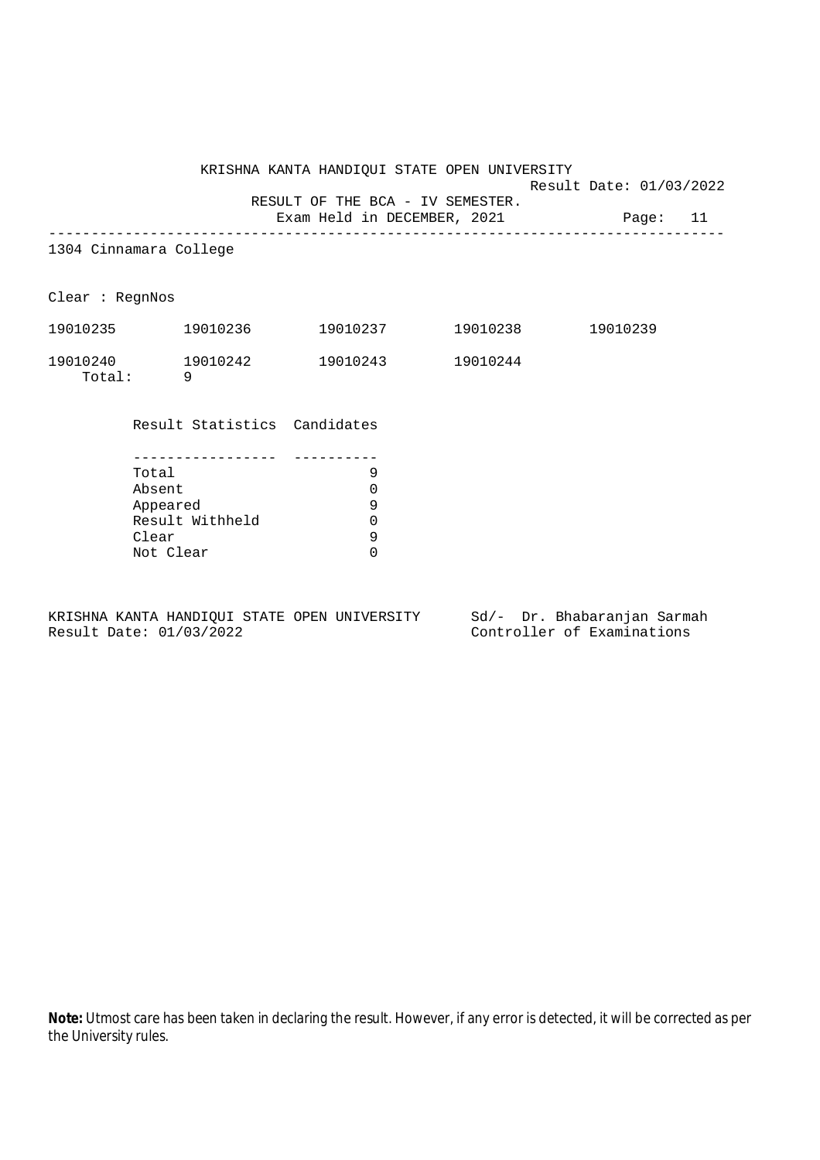Result Date: 01/03/2022

 RESULT OF THE BCA - IV SEMESTER. Exam Held in DECEMBER, 2021 Page: 11 -------------------------------------------------------------------------------- 1304 Cinnamara College Clear : RegnNos 19010235 19010236 19010237 19010238 19010239 19010240 19010242 19010243 19010244 Total: 9 Result Statistics Candidates ----------------- ---------- Total 9  $\begin{matrix} \text{Absent} & \text{0}\\ \text{Append} & \text{0}\\ \text{9} & \text{9} \end{matrix}$ Appeared Result Withheld 0 Clear 9

KRISHNA KANTA HANDIQUI STATE OPEN UNIVERSITY Sd/- Dr. Bhabaranjan Sarmah Result Date: 01/03/2022 Controller of Examinations

Not Clear 0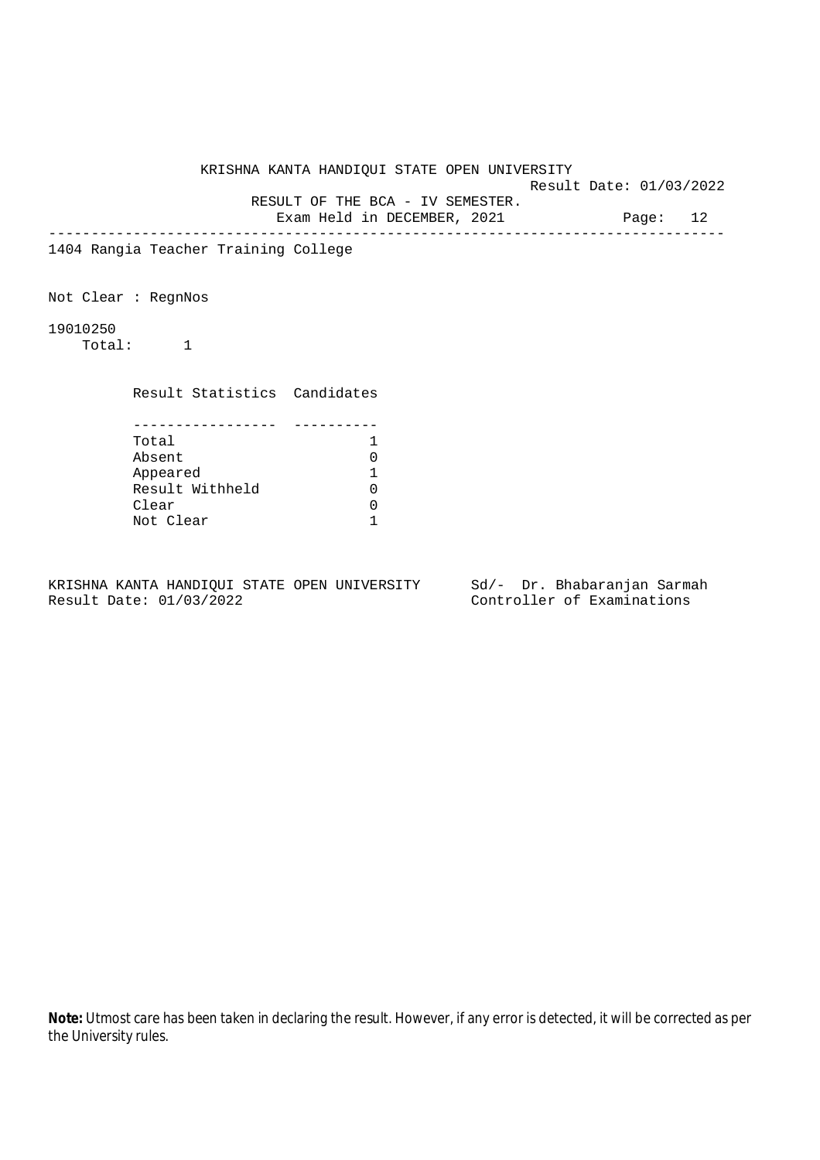Result Date: 01/03/2022 RESULT OF THE BCA - IV SEMESTER.

Exam Held in DECEMBER, 2021 Page: 12

--------------------------------------------------------------------------------

1404 Rangia Teacher Training College

Not Clear : RegnNos

19010250

Total: 1

Result Statistics Candidates

| Total           |  |
|-----------------|--|
| Absent          |  |
| Appeared        |  |
| Result Withheld |  |
| Clear           |  |
| Not Clear       |  |

KRISHNA KANTA HANDIQUI STATE OPEN UNIVERSITY Sd/- Dr. Bhabaranjan Sarmah Result Date: 01/03/2022 Controller of Examinations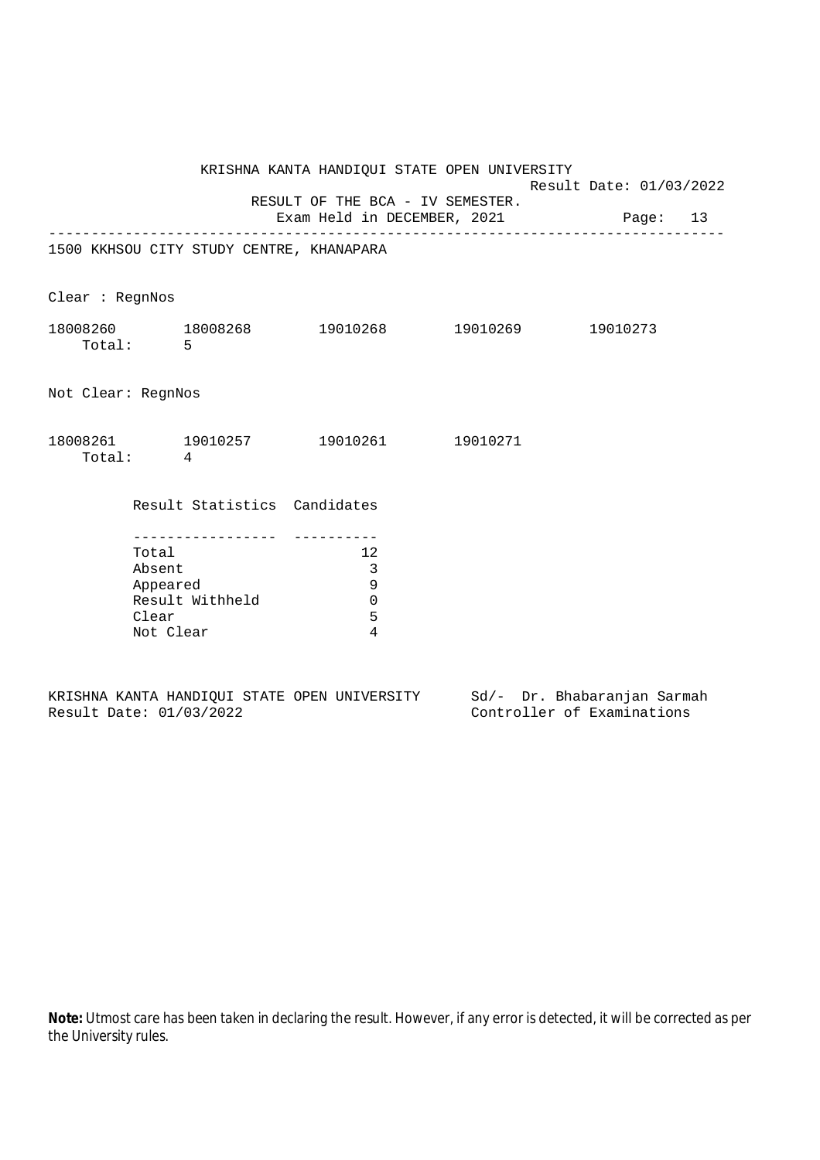|                                                                                        |                                          | KRISHNA KANTA HANDIQUI STATE OPEN UNIVERSITY                                    |                  | Result Date: 01/03/2022 |  |  |  |
|----------------------------------------------------------------------------------------|------------------------------------------|---------------------------------------------------------------------------------|------------------|-------------------------|--|--|--|
|                                                                                        |                                          | RESULT OF THE BCA - IV SEMESTER.<br>Exam Held in DECEMBER, 2021 Page: 13        | ---------------- |                         |  |  |  |
|                                                                                        | 1500 KKHSOU CITY STUDY CENTRE, KHANAPARA |                                                                                 |                  |                         |  |  |  |
| Clear : RegnNos                                                                        |                                          |                                                                                 |                  |                         |  |  |  |
|                                                                                        | Total: 5                                 | 18008260 18008268 19010268 19010269 19010273                                    |                  |                         |  |  |  |
| Not Clear: RegnNos                                                                     |                                          |                                                                                 |                  |                         |  |  |  |
|                                                                                        | Total: 4                                 | $18008261 \qquad \qquad 19010257 \qquad \qquad 19010261 \qquad \qquad 19010271$ |                  |                         |  |  |  |
|                                                                                        | Result Statistics Candidates             |                                                                                 |                  |                         |  |  |  |
| --------------<br>Total<br>Absent<br>Appeared<br>Result Withheld<br>Clear<br>Not Clear |                                          | 12<br>3<br>9<br>$\mathbf 0$<br>5<br>4                                           |                  |                         |  |  |  |

|  |                         |  | KRISHNA KANTA HANDIOUI STATE OPEN UNIVERSITY |  |                            | Sd/- Dr. Bhabaranjan Sarmah |
|--|-------------------------|--|----------------------------------------------|--|----------------------------|-----------------------------|
|  | Result Date: 01/03/2022 |  |                                              |  | Controller of Examinations |                             |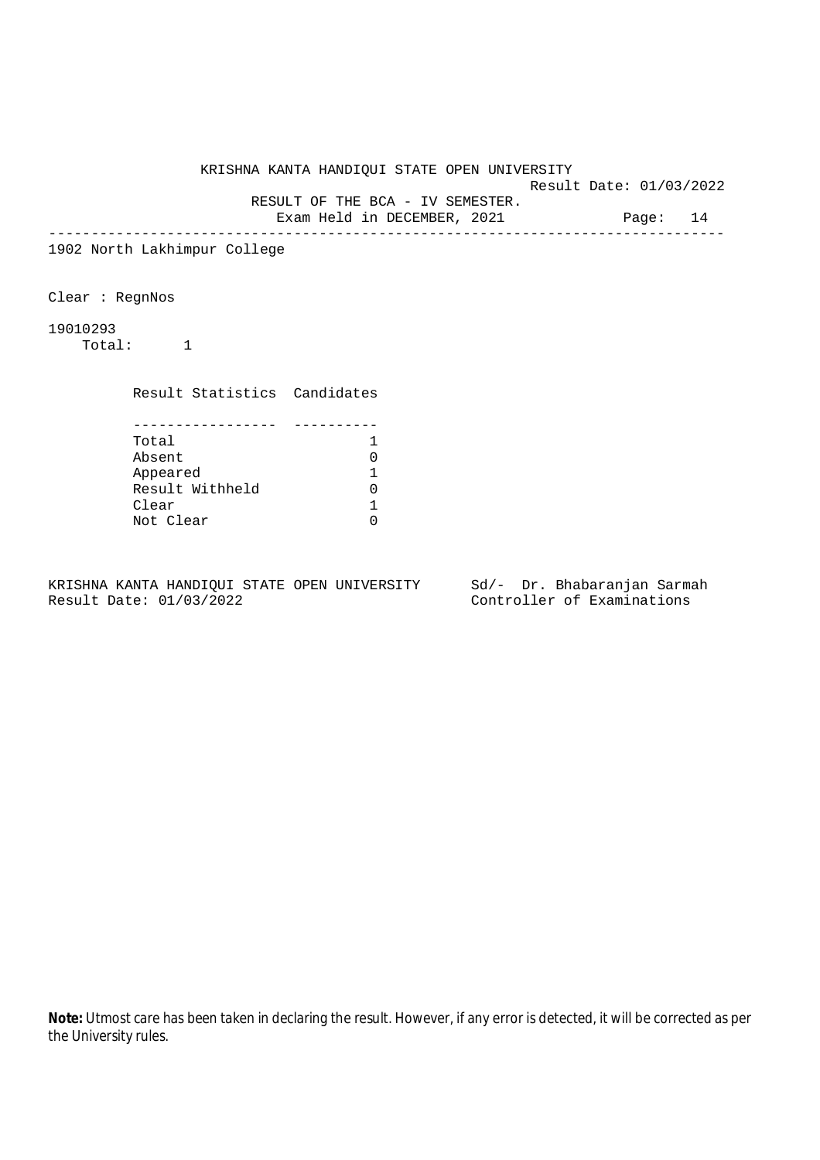Result Date: 01/03/2022

 RESULT OF THE BCA - IV SEMESTER. Exam Held in DECEMBER, 2021 Page: 14

--------------------------------------------------------------------------------

1902 North Lakhimpur College

Clear : RegnNos

19010293

Total: 1

Result Statistics Candidates

| Total           |  |
|-----------------|--|
| Absent          |  |
| Appeared        |  |
| Result Withheld |  |
| Clear           |  |
| Not Clear       |  |

KRISHNA KANTA HANDIQUI STATE OPEN UNIVERSITY Sd/- Dr. Bhabaranjan Sarmah Result Date: 01/03/2022 Controller of Examinations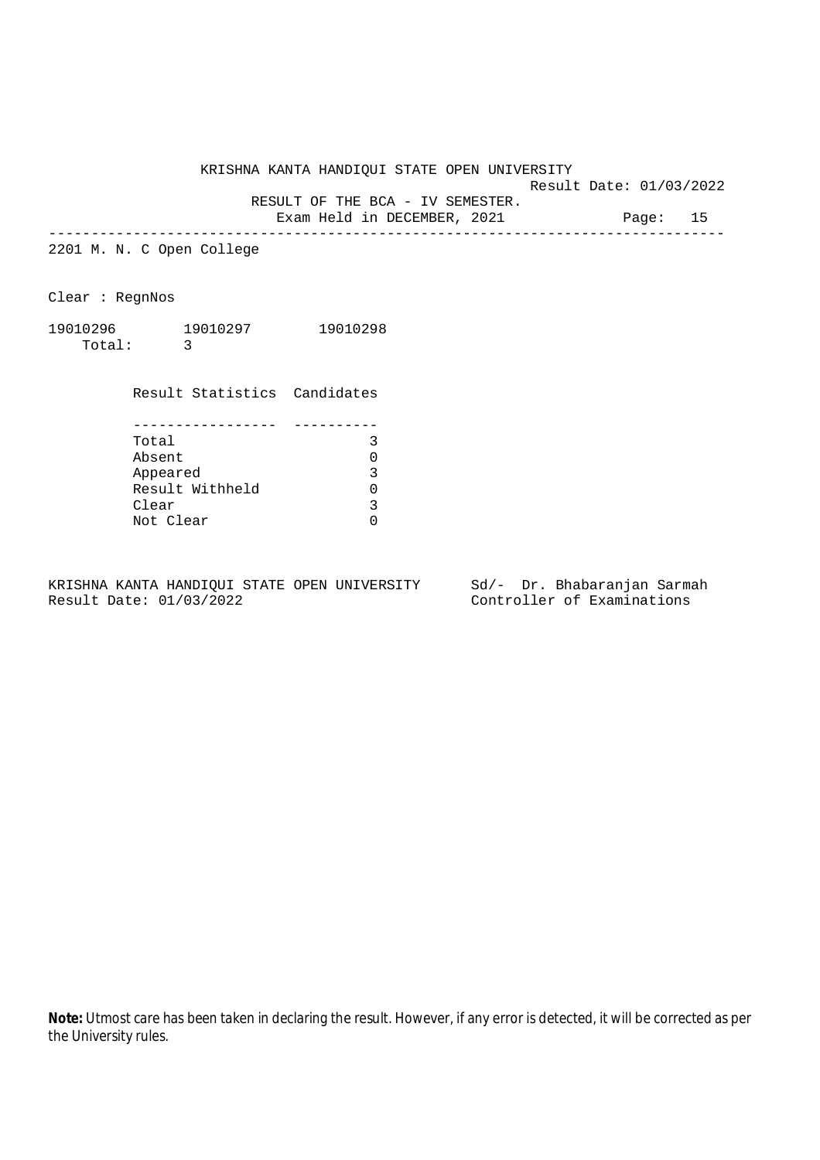Result Date: 01/03/2022

RESULT OF THE BCA - IV SEMESTER.

Exam Held in DECEMBER, 2021 Page: 15 --------------------------------------------------------------------------------

2201 M. N. C Open College

Clear : RegnNos

| 19010296 | 19010297 | 19010298 |
|----------|----------|----------|
| Total:   |          |          |

Result Statistics Candidates

| Total           |  |
|-----------------|--|
| Absent          |  |
| Appeared        |  |
| Result Withheld |  |
| Clear           |  |
| Not Clear       |  |

KRISHNA KANTA HANDIQUI STATE OPEN UNIVERSITY Sd/- Dr. Bhabaranjan Sarmah Result Date: 01/03/2022 Controller of Examinations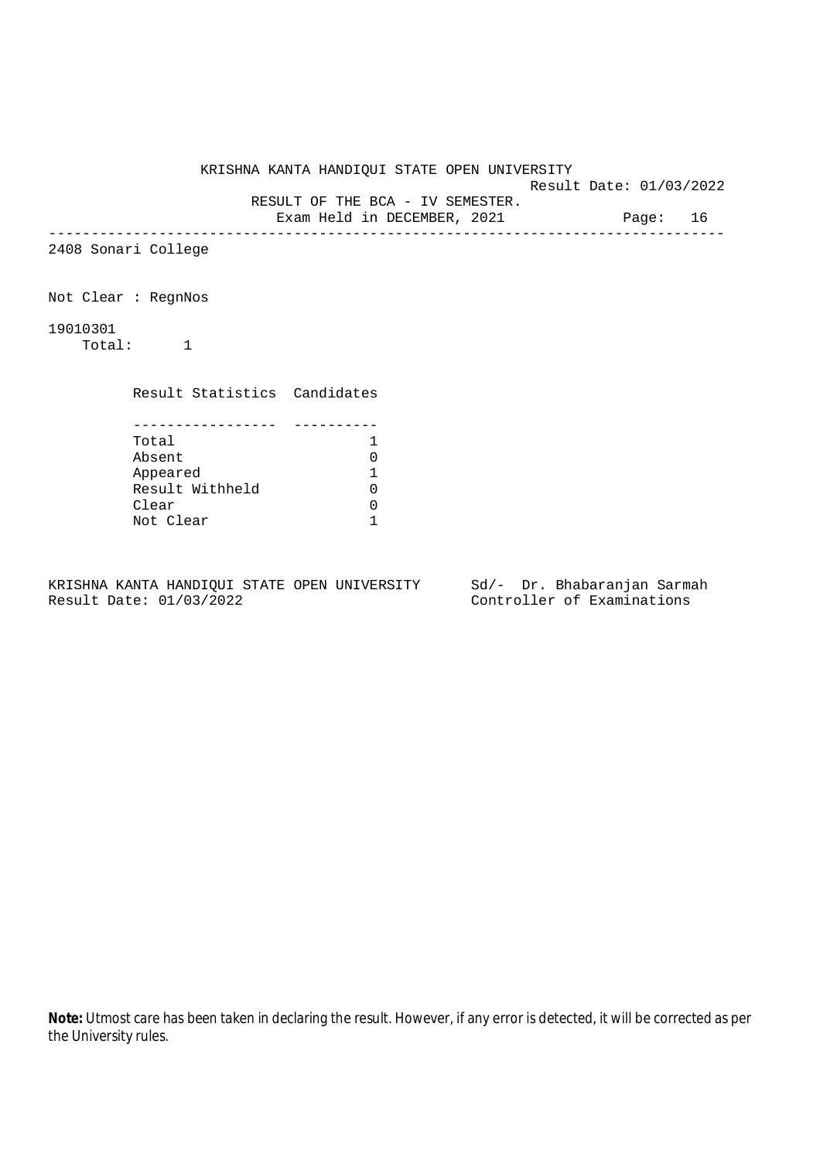Result Date: 01/03/2022 RESULT OF THE BCA - IV SEMESTER. Exam Held in DECEMBER, 2021 Page: 16 -------------------------------------------------------------------------------- 2408 Sonari College Not Clear : RegnNos 19010301 Total: 1 Result Statistics Candidates ----------------- ---------- Total 1  $\begin{tabular}{ll} Absent & \multicolumn{2}{c}{\textbf{A}b} set & \multicolumn{2}{c}{\textbf{A}b} set \\ \multicolumn{2}{c}{\textbf{A}b} set & \multicolumn{2}{c}{\textbf{A}b} set \\ \multicolumn{2}{c}{\textbf{A}b} set & \multicolumn{2}{c}{\textbf{A}b} set \\ \multicolumn{2}{c}{\textbf{A}b} set & \multicolumn{2}{c}{\textbf{A}b} set \\ \multicolumn{2}{c}{\textbf{A}b} set & \multicolumn{2}{c}{\textbf{A}b} set \\ \multicolumn{2}{c}{\textbf{A}b} set &$ Appeared 1<br>Result Withheld 1 Result Withheld 0<br>Clear 0 Clear by the clear Not Clear 1

KRISHNA KANTA HANDIQUI STATE OPEN UNIVERSITY

KRISHNA KANTA HANDIQUI STATE OPEN UNIVERSITY Sd/- Dr. Bhabaranjan Sarmah Result Date: 01/03/2022 Controller of Examinations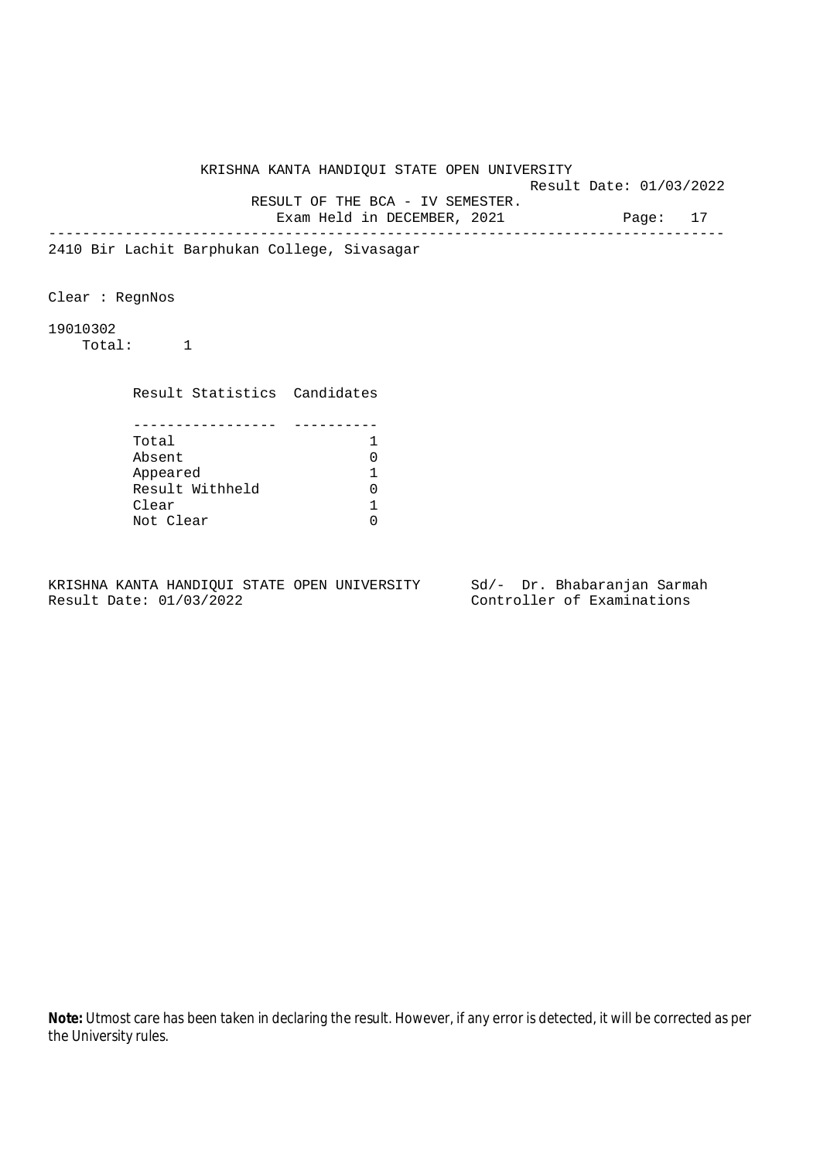Result Date: 01/03/2022 RESULT OF THE BCA - IV SEMESTER.

Exam Held in DECEMBER, 2021 Page: 17

--------------------------------------------------------------------------------

2410 Bir Lachit Barphukan College, Sivasagar

Clear : RegnNos

19010302

Total: 1

 Result Statistics Candidates ----------------- ---------- Total 1 Absent 0 Appeared 1<br>Result Withheld 1

Result Withheld 0<br>Clear 1 Clear 1<br>Not Clear 1

KRISHNA KANTA HANDIQUI STATE OPEN UNIVERSITY Sd/- Dr. Bhabaranjan Sarmah Result Date: 01/03/2022 Controller of Examinations

Not Clear